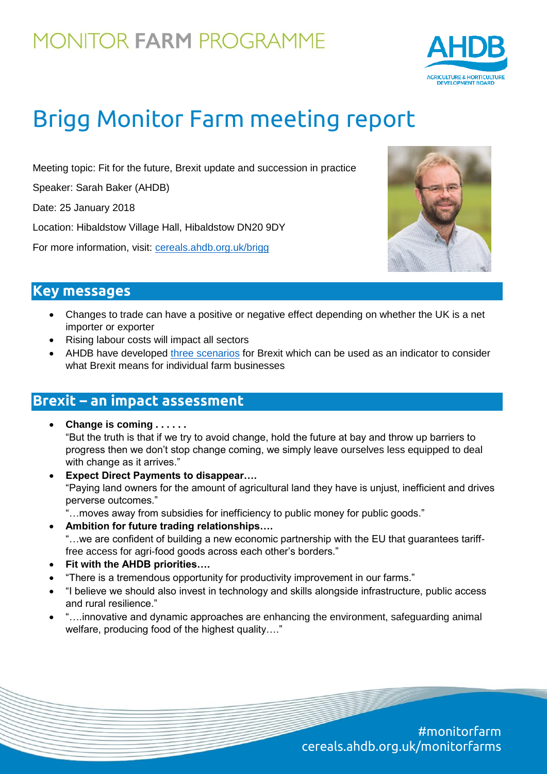

# Brigg Monitor Farm meeting report

Meeting topic: Fit for the future, Brexit update and succession in practice

Speaker: Sarah Baker (AHDB)

Date: 25 January 2018

Location: Hibaldstow Village Hall, Hibaldstow DN20 9DY

For more information, visit: [cereals.ahdb.org.uk/brigg](https://cereals.ahdb.org.uk/brigg)



#### **Key messages**

- Changes to trade can have a positive or negative effect depending on whether the UK is a net importer or exporter
- Rising labour costs will impact all sectors
- AHDB have developed [three scenarios](https://ahdb.org.uk/brexit/documents/Horizon_BrexitScenarios_Web_2017-10-16.pdf) for Brexit which can be used as an indicator to consider what Brexit means for individual farm businesses

### **Brexit – an impact assessment**

- **Change is coming . . . . . .**  "But the truth is that if we try to avoid change, hold the future at bay and throw up barriers to progress then we don't stop change coming, we simply leave ourselves less equipped to deal with change as it arrives."
- **Expect Direct Payments to disappear….** "Paying land owners for the amount of agricultural land they have is unjust, inefficient and drives perverse outcomes."
	- "…moves away from subsidies for inefficiency to public money for public goods."
- **Ambition for future trading relationships….** "…we are confident of building a new economic partnership with the EU that guarantees tarifffree access for agri-food goods across each other's borders."
- **Fit with the AHDB priorities….**
- "There is a tremendous opportunity for productivity improvement in our farms."
- "I believe we should also invest in technology and skills alongside infrastructure, public access and rural resilience."
- "….innovative and dynamic approaches are enhancing the environment, safeguarding animal welfare, producing food of the highest quality…."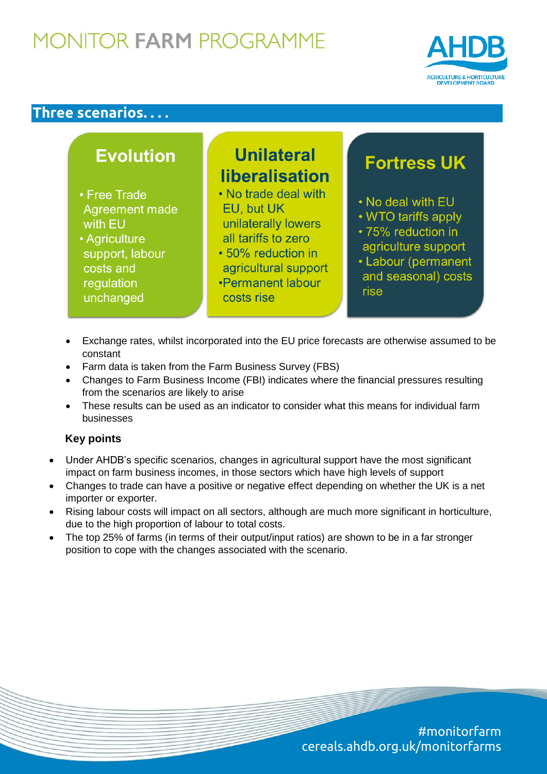

#### **Three scenarios. . . .**

| <b>Evolution</b>                                                                                                       | <b>Unilateral</b><br><b>liberalisation</b>                                                                                                                        | <b>Fortress UK</b>                                                                                                                          |
|------------------------------------------------------------------------------------------------------------------------|-------------------------------------------------------------------------------------------------------------------------------------------------------------------|---------------------------------------------------------------------------------------------------------------------------------------------|
| ree Trade<br>greement made<br>ith EU<br>griculture<br>upport, labour<br><b>osts and</b><br>gulation<br><b>nchanged</b> | • No trade deal with<br>EU, but UK<br>unilaterally lowers<br>all tariffs to zero<br>• 50% reduction in<br>agricultural support<br>•Permanent labour<br>costs rise | . No deal with EU<br>• WTO tariffs apply<br>• 75% reduction in<br>agriculture support<br>• Labour (permanent<br>and seasonal) costs<br>rise |
|                                                                                                                        |                                                                                                                                                                   |                                                                                                                                             |

- Exchange rates, whilst incorporated into the EU price forecasts are otherwise assumed to be constant
- Farm data is taken from the Farm Business Survey (FBS)
- Changes to Farm Business Income (FBI) indicates where the financial pressures resulting from the scenarios are likely to arise
- These results can be used as an indicator to consider what this means for individual farm businesses

#### **Key points**

 $\overline{C}$  $r \epsilon$  $\overline{u}$ 

- Under AHDB's specific scenarios, changes in agricultural support have the most significant impact on farm business incomes, in those sectors which have high levels of support
- Changes to trade can have a positive or negative effect depending on whether the UK is a net importer or exporter.
- Rising labour costs will impact on all sectors, although are much more significant in horticulture, due to the high proportion of labour to total costs.
- The top 25% of farms (in terms of their output/input ratios) are shown to be in a far stronger position to cope with the changes associated with the scenario.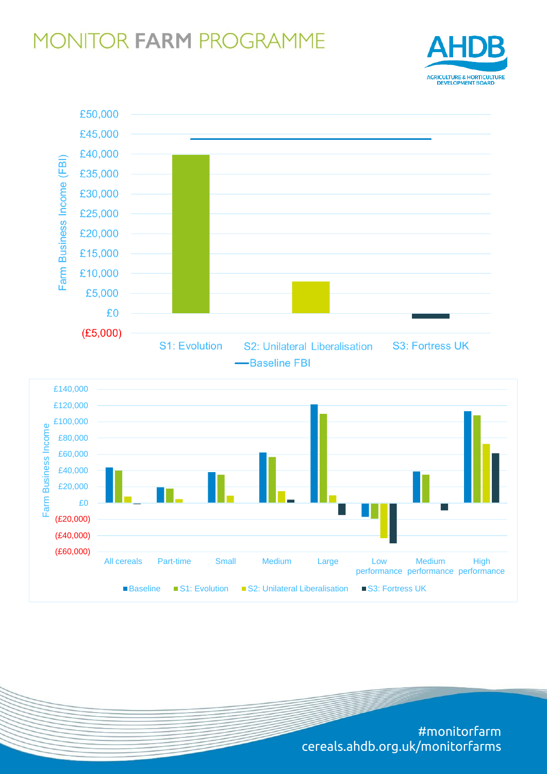